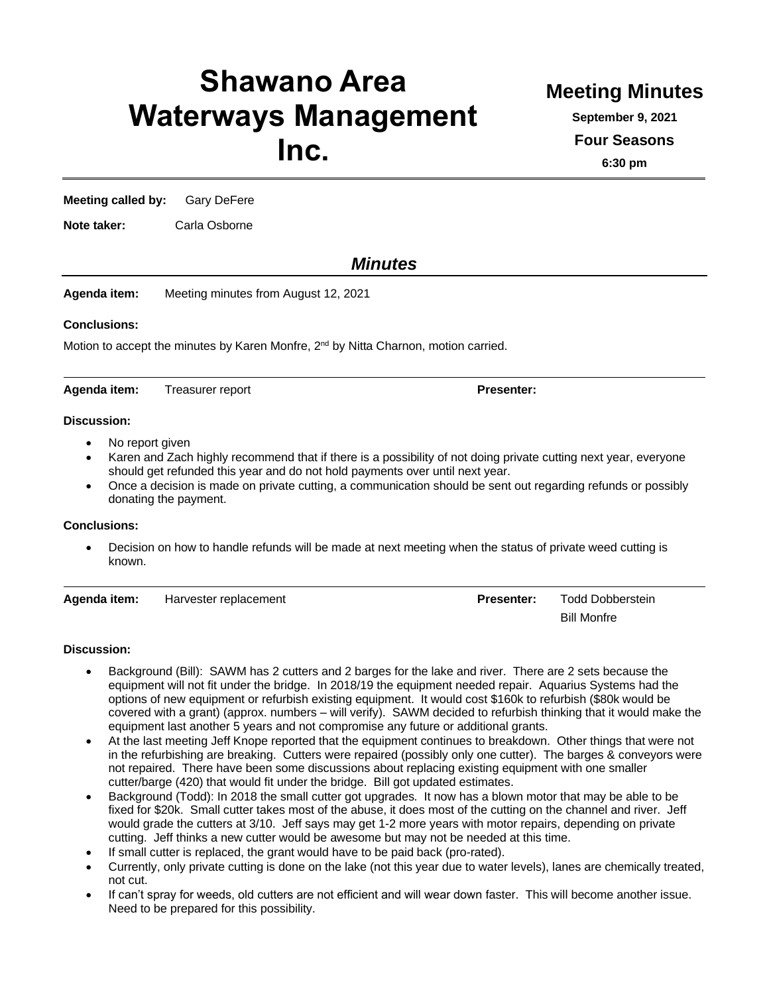# **Shawano Area Waterways Management Inc.**

## **Meeting Minutes**

**September 9, 2021**

**Four Seasons**

**6:30 pm**

**Meeting called by:** Gary DeFere

**Note taker:** Carla Osborne

### *Minutes*

**Agenda item:** Meeting minutes from August 12, 2021

#### **Conclusions:**

Motion to accept the minutes by Karen Monfre, 2<sup>nd</sup> by Nitta Charnon, motion carried.

Agenda item: Treasurer report **Presenter:** 

#### **Discussion:**

- No report given
- Karen and Zach highly recommend that if there is a possibility of not doing private cutting next year, everyone should get refunded this year and do not hold payments over until next year.
- Once a decision is made on private cutting, a communication should be sent out regarding refunds or possibly donating the payment.

#### **Conclusions:**

• Decision on how to handle refunds will be made at next meeting when the status of private weed cutting is known.

| Agenda item: | Harvester replacement | <b>Presenter:</b> | Todd Dobberstein |
|--------------|-----------------------|-------------------|------------------|
|              |                       |                   | Bill Monfre      |

#### **Discussion:**

- Background (Bill): SAWM has 2 cutters and 2 barges for the lake and river. There are 2 sets because the equipment will not fit under the bridge. In 2018/19 the equipment needed repair. Aquarius Systems had the options of new equipment or refurbish existing equipment. It would cost \$160k to refurbish (\$80k would be covered with a grant) (approx. numbers – will verify). SAWM decided to refurbish thinking that it would make the equipment last another 5 years and not compromise any future or additional grants.
- At the last meeting Jeff Knope reported that the equipment continues to breakdown. Other things that were not in the refurbishing are breaking. Cutters were repaired (possibly only one cutter). The barges & conveyors were not repaired. There have been some discussions about replacing existing equipment with one smaller cutter/barge (420) that would fit under the bridge. Bill got updated estimates.
- Background (Todd): In 2018 the small cutter got upgrades. It now has a blown motor that may be able to be fixed for \$20k. Small cutter takes most of the abuse, it does most of the cutting on the channel and river. Jeff would grade the cutters at 3/10. Jeff says may get 1-2 more years with motor repairs, depending on private cutting. Jeff thinks a new cutter would be awesome but may not be needed at this time.
- If small cutter is replaced, the grant would have to be paid back (pro-rated).
- Currently, only private cutting is done on the lake (not this year due to water levels), lanes are chemically treated, not cut.
- If can't spray for weeds, old cutters are not efficient and will wear down faster. This will become another issue. Need to be prepared for this possibility.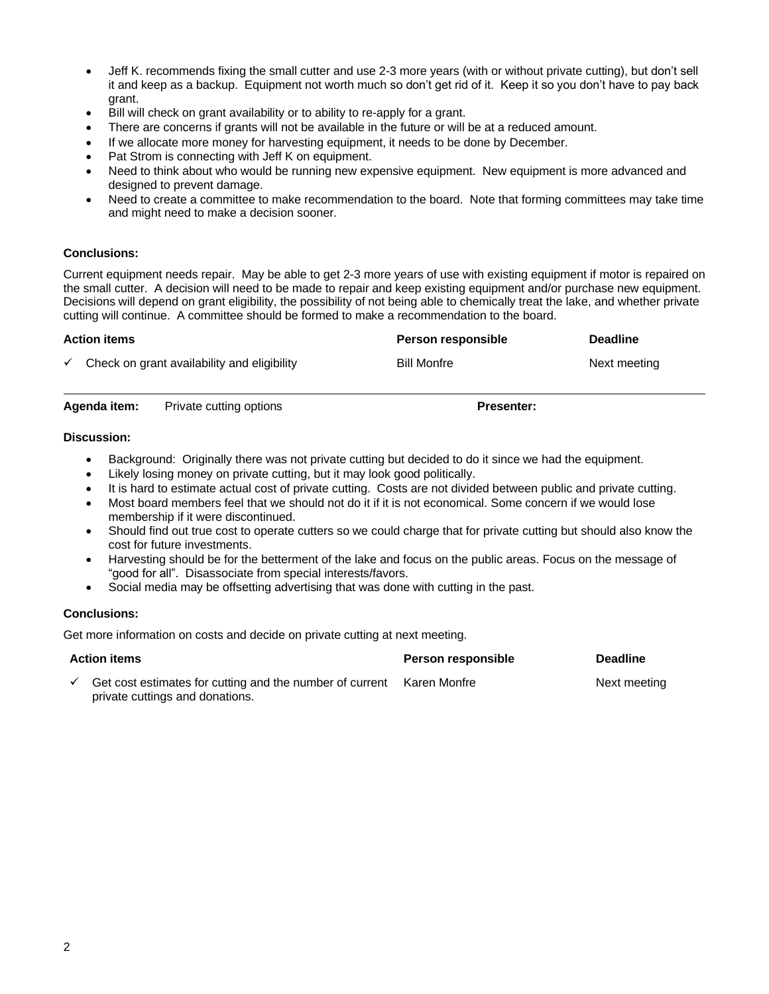- Jeff K. recommends fixing the small cutter and use 2-3 more years (with or without private cutting), but don't sell it and keep as a backup. Equipment not worth much so don't get rid of it. Keep it so you don't have to pay back grant.
- Bill will check on grant availability or to ability to re-apply for a grant.
- There are concerns if grants will not be available in the future or will be at a reduced amount.
- If we allocate more money for harvesting equipment, it needs to be done by December.
- Pat Strom is connecting with Jeff K on equipment.
- Need to think about who would be running new expensive equipment. New equipment is more advanced and designed to prevent damage.
- Need to create a committee to make recommendation to the board. Note that forming committees may take time and might need to make a decision sooner.

#### **Conclusions:**

Current equipment needs repair. May be able to get 2-3 more years of use with existing equipment if motor is repaired on the small cutter. A decision will need to be made to repair and keep existing equipment and/or purchase new equipment. Decisions will depend on grant eligibility, the possibility of not being able to chemically treat the lake, and whether private cutting will continue. A committee should be formed to make a recommendation to the board.

#### **Action items Person responsible Deadline**

| Check on grant availability and eligibility | <b>Bill Monfre</b> | Next meeting |
|---------------------------------------------|--------------------|--------------|
|                                             |                    |              |

**Agenda item:** Private cutting options **Presenter: Presenter:** 

#### **Discussion:**

- Background: Originally there was not private cutting but decided to do it since we had the equipment.
- Likely losing money on private cutting, but it may look good politically.
- It is hard to estimate actual cost of private cutting. Costs are not divided between public and private cutting.
- Most board members feel that we should not do it if it is not economical. Some concern if we would lose membership if it were discontinued.
- Should find out true cost to operate cutters so we could charge that for private cutting but should also know the cost for future investments.
- Harvesting should be for the betterment of the lake and focus on the public areas. Focus on the message of "good for all". Disassociate from special interests/favors.
- Social media may be offsetting advertising that was done with cutting in the past.

#### **Conclusions:**

Get more information on costs and decide on private cutting at next meeting.

| <b>Action items</b> |                                                                                             | <b>Person responsible</b> | <b>Deadline</b> |
|---------------------|---------------------------------------------------------------------------------------------|---------------------------|-----------------|
|                     | Get cost estimates for cutting and the number of current<br>private cuttings and donations. | Karen Monfre              | Next meeting    |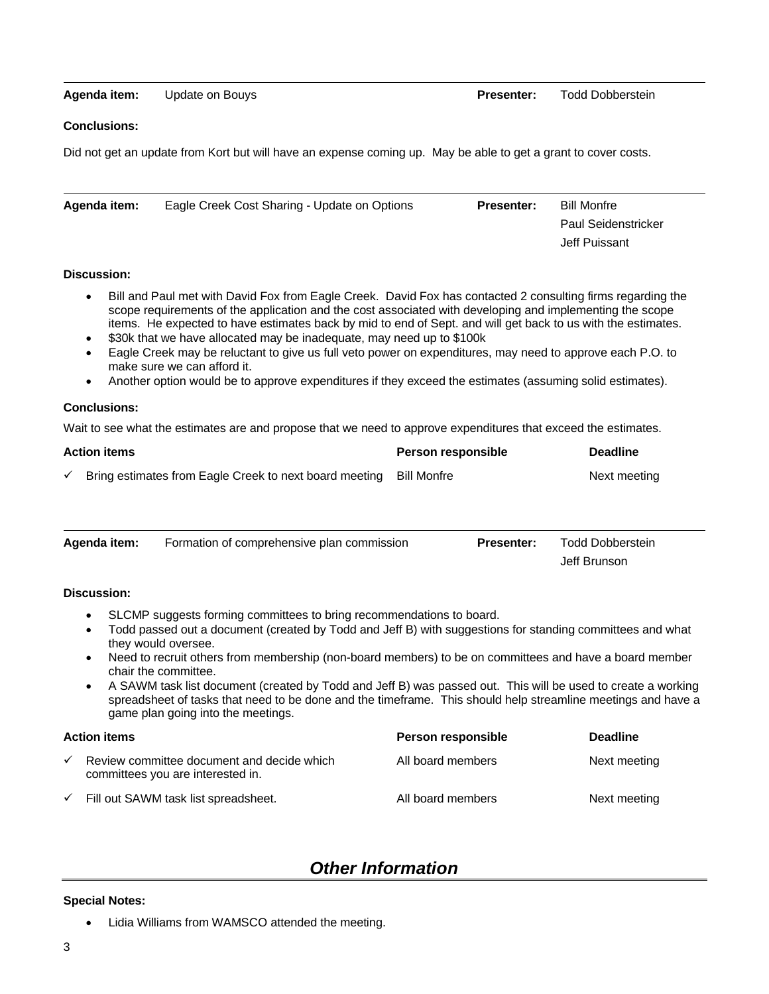#### **Agenda item:** Update on Bouys **Presenter:** Todd Dobberstein

#### **Conclusions:**

Did not get an update from Kort but will have an expense coming up. May be able to get a grant to cover costs.

| Agenda item: | Eagle Creek Cost Sharing - Update on Options | <b>Presenter:</b> | <b>Bill Monfre</b>         |
|--------------|----------------------------------------------|-------------------|----------------------------|
|              |                                              |                   | <b>Paul Seidenstricker</b> |
|              |                                              |                   | Jeff Puissant              |

#### **Discussion:**

- Bill and Paul met with David Fox from Eagle Creek. David Fox has contacted 2 consulting firms regarding the scope requirements of the application and the cost associated with developing and implementing the scope items. He expected to have estimates back by mid to end of Sept. and will get back to us with the estimates.
- \$30k that we have allocated may be inadequate, may need up to \$100k
- Eagle Creek may be reluctant to give us full veto power on expenditures, may need to approve each P.O. to make sure we can afford it.
- Another option would be to approve expenditures if they exceed the estimates (assuming solid estimates).

#### **Conclusions:**

Wait to see what the estimates are and propose that we need to approve expenditures that exceed the estimates.

| <b>Action items</b> |                                                                    | <b>Person responsible</b> | <b>Deadline</b> |
|---------------------|--------------------------------------------------------------------|---------------------------|-----------------|
|                     | Bring estimates from Eagle Creek to next board meeting Bill Monfre |                           | Next meeting    |

| Agenda item: | Formation of comprehensive plan commission | <b>Presenter:</b> | Todd Dobberstein |
|--------------|--------------------------------------------|-------------------|------------------|
|              |                                            |                   | Jeff Brunson     |

#### **Discussion:**

- SLCMP suggests forming committees to bring recommendations to board.
- Todd passed out a document (created by Todd and Jeff B) with suggestions for standing committees and what they would oversee.
- Need to recruit others from membership (non-board members) to be on committees and have a board member chair the committee.
- A SAWM task list document (created by Todd and Jeff B) was passed out. This will be used to create a working spreadsheet of tasks that need to be done and the timeframe. This should help streamline meetings and have a game plan going into the meetings.

| <b>Action items</b> |                                                                                 | Person responsible | <b>Deadline</b> |
|---------------------|---------------------------------------------------------------------------------|--------------------|-----------------|
| ✓                   | Review committee document and decide which<br>committees you are interested in. | All board members  | Next meeting    |
| $\checkmark$        | Fill out SAWM task list spreadsheet.                                            | All board members  | Next meeting    |

## *Other Information*

#### **Special Notes:**

Lidia Williams from WAMSCO attended the meeting.